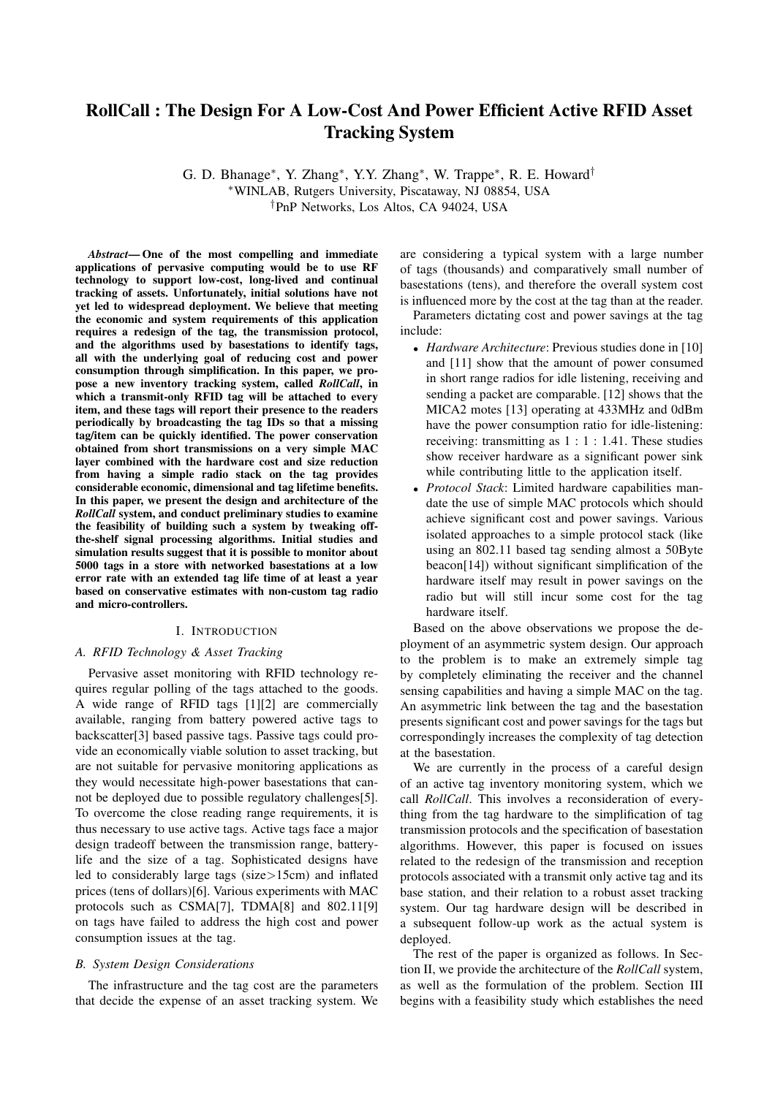## RollCall : The Design For A Low-Cost And Power Efficient Active RFID Asset Tracking System

G. D. Bhanage<sup>∗</sup>, Y. Zhang<sup>∗</sup>, Y.Y. Zhang<sup>∗</sup>, W. Trappe<sup>∗</sup>, R. E. Howard<sup>†</sup> <sup>∗</sup>WINLAB, Rutgers University, Piscataway, NJ 08854, USA †PnP Networks, Los Altos, CA 94024, USA

*Abstract*— One of the most compelling and immediate applications of pervasive computing would be to use RF technology to support low-cost, long-lived and continual tracking of assets. Unfortunately, initial solutions have not yet led to widespread deployment. We believe that meeting the economic and system requirements of this application requires a redesign of the tag, the transmission protocol, and the algorithms used by basestations to identify tags, all with the underlying goal of reducing cost and power consumption through simplification. In this paper, we propose a new inventory tracking system, called *RollCall*, in which a transmit-only RFID tag will be attached to every item, and these tags will report their presence to the readers periodically by broadcasting the tag IDs so that a missing tag/item can be quickly identified. The power conservation obtained from short transmissions on a very simple MAC layer combined with the hardware cost and size reduction from having a simple radio stack on the tag provides considerable economic, dimensional and tag lifetime benefits. In this paper, we present the design and architecture of the *RollCall* system, and conduct preliminary studies to examine the feasibility of building such a system by tweaking offthe-shelf signal processing algorithms. Initial studies and simulation results suggest that it is possible to monitor about 5000 tags in a store with networked basestations at a low error rate with an extended tag life time of at least a year based on conservative estimates with non-custom tag radio and micro-controllers.

### I. INTRODUCTION

### *A. RFID Technology & Asset Tracking*

Pervasive asset monitoring with RFID technology requires regular polling of the tags attached to the goods. A wide range of RFID tags [1][2] are commercially available, ranging from battery powered active tags to backscatter[3] based passive tags. Passive tags could provide an economically viable solution to asset tracking, but are not suitable for pervasive monitoring applications as they would necessitate high-power basestations that cannot be deployed due to possible regulatory challenges[5]. To overcome the close reading range requirements, it is thus necessary to use active tags. Active tags face a major design tradeoff between the transmission range, batterylife and the size of a tag. Sophisticated designs have led to considerably large tags (size>15cm) and inflated prices (tens of dollars)[6]. Various experiments with MAC protocols such as CSMA[7], TDMA[8] and 802.11[9] on tags have failed to address the high cost and power consumption issues at the tag.

### *B. System Design Considerations*

The infrastructure and the tag cost are the parameters that decide the expense of an asset tracking system. We

are considering a typical system with a large number of tags (thousands) and comparatively small number of basestations (tens), and therefore the overall system cost is influenced more by the cost at the tag than at the reader.

Parameters dictating cost and power savings at the tag include:

- *Hardware Architecture*: Previous studies done in [10] and [11] show that the amount of power consumed in short range radios for idle listening, receiving and sending a packet are comparable. [12] shows that the MICA2 motes [13] operating at 433MHz and 0dBm have the power consumption ratio for idle-listening: receiving: transmitting as  $1:1:1.41$ . These studies show receiver hardware as a significant power sink while contributing little to the application itself.
- *Protocol Stack*: Limited hardware capabilities mandate the use of simple MAC protocols which should achieve significant cost and power savings. Various isolated approaches to a simple protocol stack (like using an 802.11 based tag sending almost a 50Byte beacon[14]) without significant simplification of the hardware itself may result in power savings on the radio but will still incur some cost for the tag hardware itself.

Based on the above observations we propose the deployment of an asymmetric system design. Our approach to the problem is to make an extremely simple tag by completely eliminating the receiver and the channel sensing capabilities and having a simple MAC on the tag. An asymmetric link between the tag and the basestation presents significant cost and power savings for the tags but correspondingly increases the complexity of tag detection at the basestation.

We are currently in the process of a careful design of an active tag inventory monitoring system, which we call *RollCall*. This involves a reconsideration of everything from the tag hardware to the simplification of tag transmission protocols and the specification of basestation algorithms. However, this paper is focused on issues related to the redesign of the transmission and reception protocols associated with a transmit only active tag and its base station, and their relation to a robust asset tracking system. Our tag hardware design will be described in a subsequent follow-up work as the actual system is deployed.

The rest of the paper is organized as follows. In Section II, we provide the architecture of the *RollCall* system, as well as the formulation of the problem. Section III begins with a feasibility study which establishes the need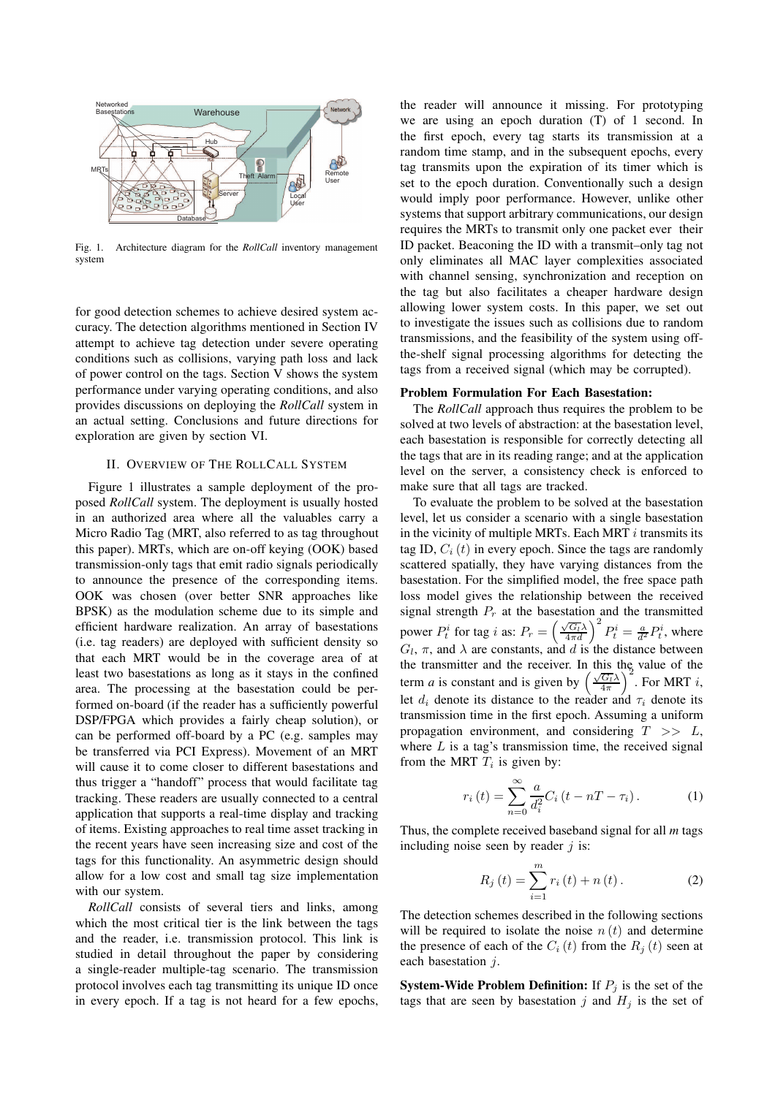

Fig. 1. Architecture diagram for the *RollCall* inventory management system

for good detection schemes to achieve desired system accuracy. The detection algorithms mentioned in Section IV attempt to achieve tag detection under severe operating conditions such as collisions, varying path loss and lack of power control on the tags. Section V shows the system performance under varying operating conditions, and also provides discussions on deploying the *RollCall* system in an actual setting. Conclusions and future directions for exploration are given by section VI.

### II. OVERVIEW OF THE ROLLCALL SYSTEM

Figure 1 illustrates a sample deployment of the proposed *RollCall* system. The deployment is usually hosted in an authorized area where all the valuables carry a Micro Radio Tag (MRT, also referred to as tag throughout this paper). MRTs, which are on-off keying (OOK) based transmission-only tags that emit radio signals periodically to announce the presence of the corresponding items. OOK was chosen (over better SNR approaches like BPSK) as the modulation scheme due to its simple and efficient hardware realization. An array of basestations (i.e. tag readers) are deployed with sufficient density so that each MRT would be in the coverage area of at least two basestations as long as it stays in the confined area. The processing at the basestation could be performed on-board (if the reader has a sufficiently powerful DSP/FPGA which provides a fairly cheap solution), or can be performed off-board by a PC (e.g. samples may be transferred via PCI Express). Movement of an MRT will cause it to come closer to different basestations and thus trigger a "handoff" process that would facilitate tag tracking. These readers are usually connected to a central application that supports a real-time display and tracking of items. Existing approaches to real time asset tracking in the recent years have seen increasing size and cost of the tags for this functionality. An asymmetric design should allow for a low cost and small tag size implementation with our system.

*RollCall* consists of several tiers and links, among which the most critical tier is the link between the tags and the reader, i.e. transmission protocol. This link is studied in detail throughout the paper by considering a single-reader multiple-tag scenario. The transmission protocol involves each tag transmitting its unique ID once in every epoch. If a tag is not heard for a few epochs,

the reader will announce it missing. For prototyping we are using an epoch duration (T) of 1 second. In the first epoch, every tag starts its transmission at a random time stamp, and in the subsequent epochs, every tag transmits upon the expiration of its timer which is set to the epoch duration. Conventionally such a design would imply poor performance. However, unlike other systems that support arbitrary communications, our design requires the MRTs to transmit only one packet ever their ID packet. Beaconing the ID with a transmit–only tag not only eliminates all MAC layer complexities associated with channel sensing, synchronization and reception on the tag but also facilitates a cheaper hardware design allowing lower system costs. In this paper, we set out to investigate the issues such as collisions due to random transmissions, and the feasibility of the system using offthe-shelf signal processing algorithms for detecting the tags from a received signal (which may be corrupted).

### Problem Formulation For Each Basestation:

The *RollCall* approach thus requires the problem to be solved at two levels of abstraction: at the basestation level, each basestation is responsible for correctly detecting all the tags that are in its reading range; and at the application level on the server, a consistency check is enforced to make sure that all tags are tracked.

To evaluate the problem to be solved at the basestation level, let us consider a scenario with a single basestation in the vicinity of multiple MRTs. Each MRT  $i$  transmits its tag ID,  $C_i(t)$  in every epoch. Since the tags are randomly scattered spatially, they have varying distances from the basestation. For the simplified model, the free space path loss model gives the relationship between the received signal strength  $P_r$  at the basestation and the transmitted power  $P_t^i$  for tag i as:  $P_r = \left(\frac{\sqrt{G_t}\lambda}{4\pi d}\right)^2 P_t^i = \frac{a}{d^2} P_t^i$ , where  $G_l$ ,  $\pi$ , and  $\lambda$  are constants, and d is the distance between the transmitter and the receiver. In this the value of the term *a* is constant and is given by  $\left(\frac{\sqrt{G_t}\lambda}{4\pi}\right)^2$ . For MRT *i*, let  $d_i$  denote its distance to the reader and  $\tau_i$  denote its transmission time in the first epoch. Assuming a uniform propagation environment, and considering  $T \gg L$ , where  $L$  is a tag's transmission time, the received signal from the MRT  $T_i$  is given by:

$$
r_i(t) = \sum_{n=0}^{\infty} \frac{a}{d_i^2} C_i \left( t - nT - \tau_i \right). \tag{1}
$$

Thus, the complete received baseband signal for all *m* tags including noise seen by reader  $j$  is:

$$
R_{j}(t) = \sum_{i=1}^{m} r_{i}(t) + n(t).
$$
 (2)

The detection schemes described in the following sections will be required to isolate the noise  $n(t)$  and determine the presence of each of the  $C_i(t)$  from the  $R_i(t)$  seen at each basestation j.

**System-Wide Problem Definition:** If  $P_i$  is the set of the tags that are seen by basestation  $j$  and  $H_j$  is the set of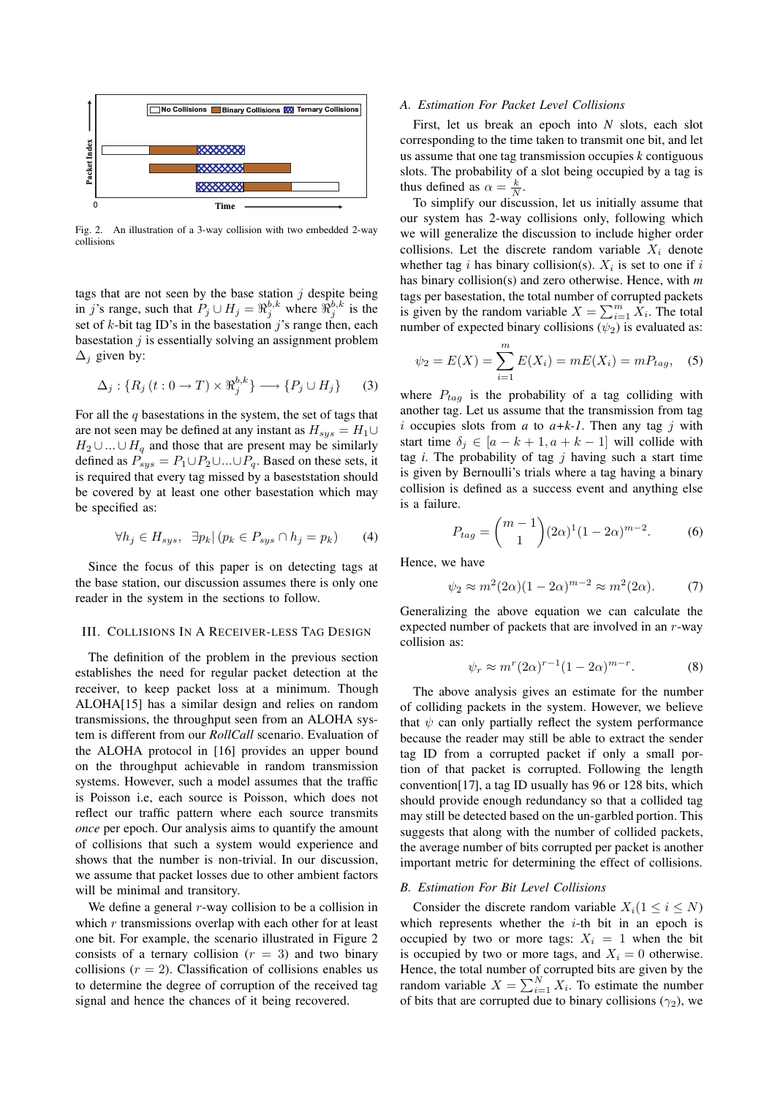

Fig. 2. An illustration of a 3-way collision with two embedded 2-way collisions

tags that are not seen by the base station  $j$  despite being in j's range, such that  $P_j \cup H_j = \Re_j^{b,k}$  where  $\Re_j^{b,k}$  is the set of  $k$ -bit tag ID's in the basestation j's range then, each basestation  $j$  is essentially solving an assignment problem  $\Delta_i$  given by:

$$
\Delta_j: \{ R_j(t:0 \to T) \times \mathfrak{R}_j^{b,k} \} \longrightarrow \{ P_j \cup H_j \} \qquad (3)
$$

For all the  $q$  basestations in the system, the set of tags that are not seen may be defined at any instant as  $H_{sys} = H_1 \cup$  $H_2 \cup ... \cup H_q$  and those that are present may be similarly defined as  $P_{sys} = P_1 \cup P_2 \cup ... \cup P_q$ . Based on these sets, it is required that every tag missed by a baseststation should be covered by at least one other basestation which may be specified as:

$$
\forall h_j \in H_{sys}, \quad \exists p_k \, | \, (p_k \in P_{sys} \cap h_j = p_k) \tag{4}
$$

Since the focus of this paper is on detecting tags at the base station, our discussion assumes there is only one reader in the system in the sections to follow.

### III. COLLISIONS IN A RECEIVER-LESS TAG DESIGN

The definition of the problem in the previous section establishes the need for regular packet detection at the receiver, to keep packet loss at a minimum. Though ALOHA[15] has a similar design and relies on random transmissions, the throughput seen from an ALOHA system is different from our *RollCall* scenario. Evaluation of the ALOHA protocol in [16] provides an upper bound on the throughput achievable in random transmission systems. However, such a model assumes that the traffic is Poisson i.e, each source is Poisson, which does not reflect our traffic pattern where each source transmits *once* per epoch. Our analysis aims to quantify the amount of collisions that such a system would experience and shows that the number is non-trivial. In our discussion, we assume that packet losses due to other ambient factors will be minimal and transitory.

We define a general  $r$ -way collision to be a collision in which  $r$  transmissions overlap with each other for at least one bit. For example, the scenario illustrated in Figure 2 consists of a ternary collision  $(r = 3)$  and two binary collisions  $(r = 2)$ . Classification of collisions enables us to determine the degree of corruption of the received tag signal and hence the chances of it being recovered.

### *A. Estimation For Packet Level Collisions*

First, let us break an epoch into *N* slots, each slot corresponding to the time taken to transmit one bit, and let us assume that one tag transmission occupies *k* contiguous slots. The probability of a slot being occupied by a tag is thus defined as  $\alpha = \frac{k}{N}$ .

To simplify our discussion, let us initially assume that our system has 2-way collisions only, following which we will generalize the discussion to include higher order collisions. Let the discrete random variable  $X_i$  denote whether tag *i* has binary collision(s).  $X_i$  is set to one if *i* has binary collision(s) and zero otherwise. Hence, with *m* tags per basestation, the total number of corrupted packets is given by the random variable  $X = \sum_{i=1}^{m} X_i$ . The total number of expected binary collisions  $(\psi_2)$  is evaluated as:

$$
\psi_2 = E(X) = \sum_{i=1}^{m} E(X_i) = mE(X_i) = mP_{tag}, \quad (5)
$$

where  $P_{taq}$  is the probability of a tag colliding with another tag. Let us assume that the transmission from tag i occupies slots from *a* to *a+k-1*. Then any tag j with start time  $\delta_i \in [a - k + 1, a + k - 1]$  will collide with tag *i*. The probability of tag j having such a start time is given by Bernoulli's trials where a tag having a binary collision is defined as a success event and anything else is a failure.

$$
P_{tag} = {m-1 \choose 1} (2\alpha)^1 (1 - 2\alpha)^{m-2}.
$$
 (6)

Hence, we have

$$
\psi_2 \approx m^2 (2\alpha)(1 - 2\alpha)^{m-2} \approx m^2 (2\alpha). \tag{7}
$$

Generalizing the above equation we can calculate the expected number of packets that are involved in an  $r$ -way collision as:

$$
\psi_r \approx m^r (2\alpha)^{r-1} (1 - 2\alpha)^{m-r}.
$$
 (8)

The above analysis gives an estimate for the number of colliding packets in the system. However, we believe that  $\psi$  can only partially reflect the system performance because the reader may still be able to extract the sender tag ID from a corrupted packet if only a small portion of that packet is corrupted. Following the length convention[17], a tag ID usually has 96 or 128 bits, which should provide enough redundancy so that a collided tag may still be detected based on the un-garbled portion. This suggests that along with the number of collided packets, the average number of bits corrupted per packet is another important metric for determining the effect of collisions.

### *B. Estimation For Bit Level Collisions*

Consider the discrete random variable  $X_i(1 \le i \le N)$ which represents whether the  $i$ -th bit in an epoch is occupied by two or more tags:  $X_i = 1$  when the bit is occupied by two or more tags, and  $X_i = 0$  otherwise. Hence, the total number of corrupted bits are given by the random variable  $X = \sum_{i=1}^{N} X_i$ . To estimate the number of bits that are corrupted due to binary collisions ( $\gamma_2$ ), we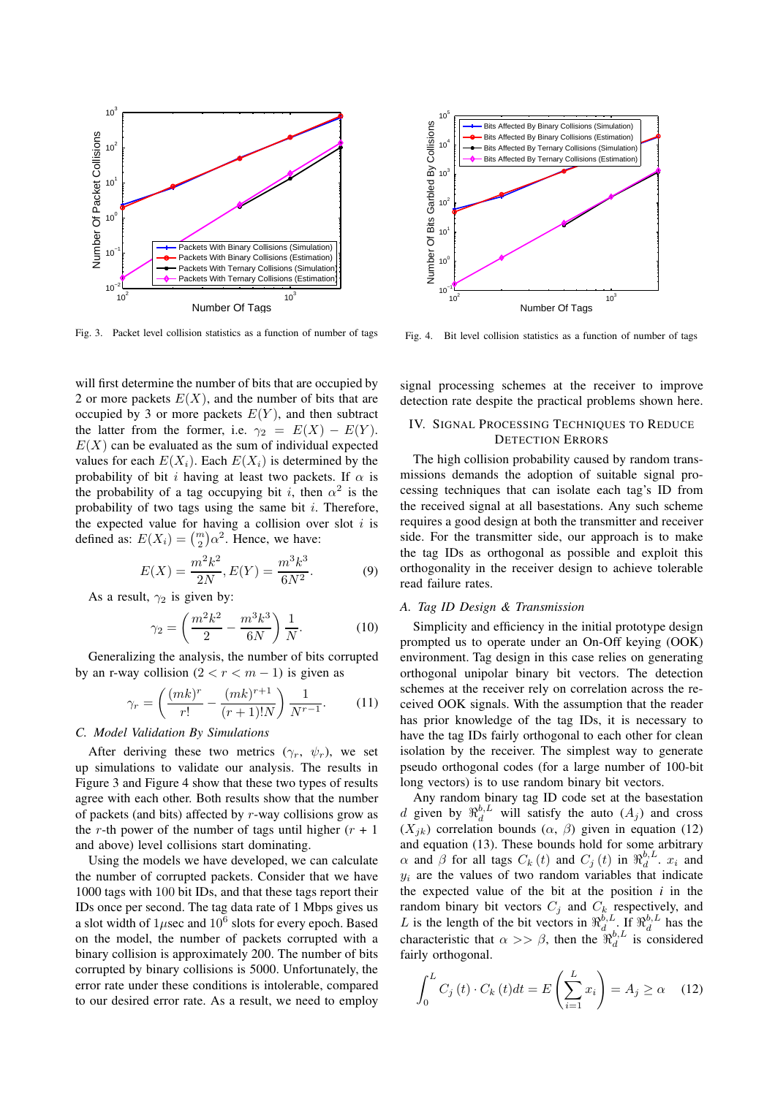

Fig. 3. Packet level collision statistics as a function of number of tags

will first determine the number of bits that are occupied by 2 or more packets  $E(X)$ , and the number of bits that are occupied by 3 or more packets  $E(Y)$ , and then subtract the latter from the former, i.e.  $\gamma_2 = E(X) - E(Y)$ .  $E(X)$  can be evaluated as the sum of individual expected values for each  $E(X_i)$ . Each  $E(X_i)$  is determined by the probability of bit i having at least two packets. If  $\alpha$  is the probability of a tag occupying bit i, then  $\alpha^2$  is the probability of two tags using the same bit  $i$ . Therefore, the expected value for having a collision over slot  $i$  is defined as:  $E(X_i) = {m \choose 2} \alpha^2$ . Hence, we have:

$$
E(X) = \frac{m^2 k^2}{2N}, E(Y) = \frac{m^3 k^3}{6N^2}.
$$
 (9)

As a result,  $\gamma_2$  is given by:

$$
\gamma_2 = \left(\frac{m^2 k^2}{2} - \frac{m^3 k^3}{6N}\right) \frac{1}{N}.\tag{10}
$$

Generalizing the analysis, the number of bits corrupted by an r-way collision  $(2 < r < m - 1)$  is given as

$$
\gamma_r = \left(\frac{(mk)^r}{r!} - \frac{(mk)^{r+1}}{(r+1)!N}\right) \frac{1}{N^{r-1}}.\tag{11}
$$

### *C. Model Validation By Simulations*

After deriving these two metrics  $(\gamma_r, \psi_r)$ , we set up simulations to validate our analysis. The results in Figure 3 and Figure 4 show that these two types of results agree with each other. Both results show that the number of packets (and bits) affected by  $r$ -way collisions grow as the r-th power of the number of tags until higher  $(r + 1)$ and above) level collisions start dominating.

Using the models we have developed, we can calculate the number of corrupted packets. Consider that we have 1000 tags with 100 bit IDs, and that these tags report their IDs once per second. The tag data rate of 1 Mbps gives us a slot width of  $1\mu$ sec and  $10^6$  slots for every epoch. Based on the model, the number of packets corrupted with a binary collision is approximately 200. The number of bits corrupted by binary collisions is 5000. Unfortunately, the error rate under these conditions is intolerable, compared to our desired error rate. As a result, we need to employ



Fig. 4. Bit level collision statistics as a function of number of tags

signal processing schemes at the receiver to improve detection rate despite the practical problems shown here.

### IV. SIGNAL PROCESSING TECHNIQUES TO REDUCE DETECTION ERRORS

The high collision probability caused by random transmissions demands the adoption of suitable signal processing techniques that can isolate each tag's ID from the received signal at all basestations. Any such scheme requires a good design at both the transmitter and receiver side. For the transmitter side, our approach is to make the tag IDs as orthogonal as possible and exploit this orthogonality in the receiver design to achieve tolerable read failure rates.

### *A. Tag ID Design & Transmission*

Simplicity and efficiency in the initial prototype design prompted us to operate under an On-Off keying (OOK) environment. Tag design in this case relies on generating orthogonal unipolar binary bit vectors. The detection schemes at the receiver rely on correlation across the received OOK signals. With the assumption that the reader has prior knowledge of the tag IDs, it is necessary to have the tag IDs fairly orthogonal to each other for clean isolation by the receiver. The simplest way to generate pseudo orthogonal codes (for a large number of 100-bit long vectors) is to use random binary bit vectors.

Any random binary tag ID code set at the basestation d given by  $\Re_d^{b,L}$  will satisfy the auto  $(A_j)$  and cross  $(X_{ik})$  correlation bounds  $(\alpha, \beta)$  given in equation (12) and equation (13). These bounds hold for some arbitrary  $\alpha$  and  $\beta$  for all tags  $C_k(t)$  and  $C_j(t)$  in  $\mathfrak{R}_d^{b,L}$ .  $x_i$  and  $y_i$  are the values of two random variables that indicate the expected value of the bit at the position  $i$  in the random binary bit vectors  $C_j$  and  $C_k$  respectively, and L is the length of the bit vectors in  $\mathbb{R}^{b, L}_{d}$ . If  $\mathbb{R}^{b, L}_{d}$  has the characteristic that  $\alpha >> \beta$ , then the  $\mathfrak{R}^{b, L}_{d}$  is considered fairly orthogonal.

$$
\int_0^L C_j(t) \cdot C_k(t) dt = E\left(\sum_{i=1}^L x_i\right) = A_j \ge \alpha \quad (12)
$$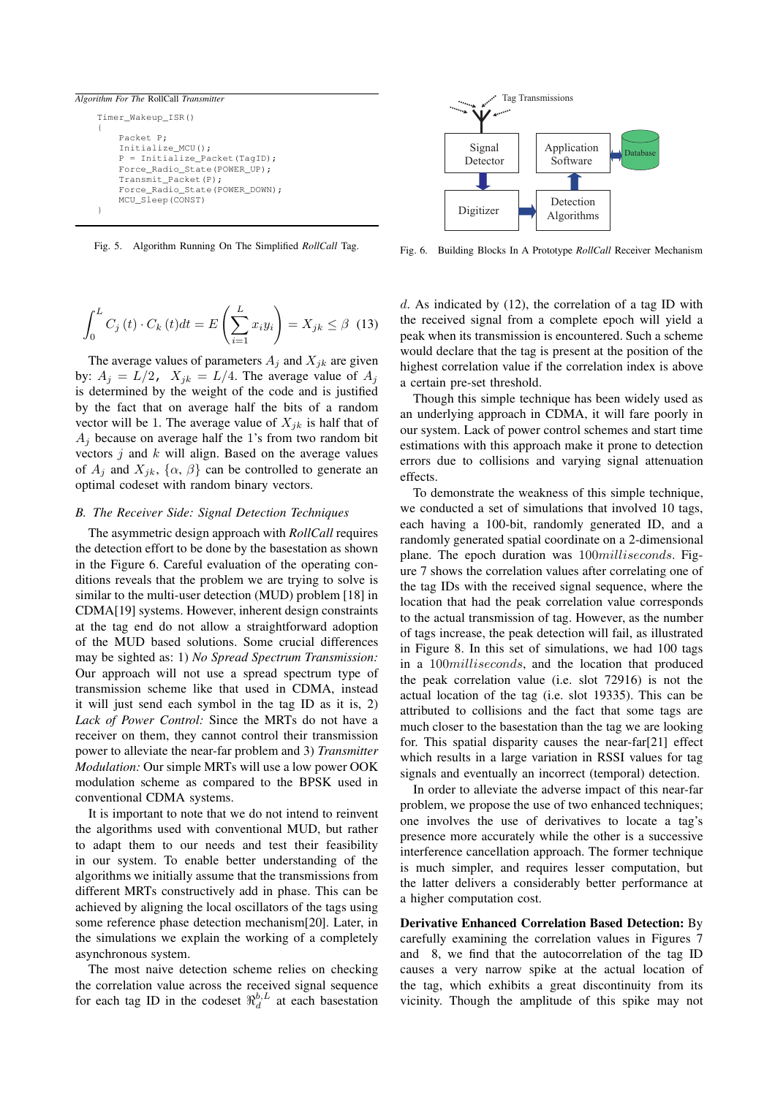# *Algorithm For The* RollCall *Transmitter*

```
Timer_Wakeup_ISR()
{
    Packet P;
    Initialize_MCU();
    P = \text{Initialize Parker}(\text{TaGID}):Force_Radio_State(POWER_UP);
    Transmit_Packet(P);
    Force_Radio_State(POWER_DOWN);
    MCU_Sleep(CONST)
}
```


$$
\int_{0}^{L} C_{j}(t) \cdot C_{k}(t) dt = E\left(\sum_{i=1}^{L} x_{i} y_{i}\right) = X_{jk} \leq \beta \quad (13)
$$

The average values of parameters  $A_j$  and  $X_{jk}$  are given by:  $A_j = L/2$ ,  $X_{jk} = L/4$ . The average value of  $A_j$ is determined by the weight of the code and is justified by the fact that on average half the bits of a random vector will be 1. The average value of  $X_{ik}$  is half that of  $A_i$  because on average half the 1's from two random bit vectors  $j$  and  $k$  will align. Based on the average values of  $A_j$  and  $X_{jk}$ ,  $\{\alpha, \beta\}$  can be controlled to generate an optimal codeset with random binary vectors.

### *B. The Receiver Side: Signal Detection Techniques*

The asymmetric design approach with *RollCall* requires the detection effort to be done by the basestation as shown in the Figure 6. Careful evaluation of the operating conditions reveals that the problem we are trying to solve is similar to the multi-user detection (MUD) problem [18] in CDMA[19] systems. However, inherent design constraints at the tag end do not allow a straightforward adoption of the MUD based solutions. Some crucial differences may be sighted as: 1) *No Spread Spectrum Transmission:* Our approach will not use a spread spectrum type of transmission scheme like that used in CDMA, instead it will just send each symbol in the tag ID as it is, 2) *Lack of Power Control:* Since the MRTs do not have a receiver on them, they cannot control their transmission power to alleviate the near-far problem and 3) *Transmitter Modulation:* Our simple MRTs will use a low power OOK modulation scheme as compared to the BPSK used in conventional CDMA systems.

It is important to note that we do not intend to reinvent the algorithms used with conventional MUD, but rather to adapt them to our needs and test their feasibility in our system. To enable better understanding of the algorithms we initially assume that the transmissions from different MRTs constructively add in phase. This can be achieved by aligning the local oscillators of the tags using some reference phase detection mechanism[20]. Later, in the simulations we explain the working of a completely asynchronous system.

The most naive detection scheme relies on checking the correlation value across the received signal sequence for each tag ID in the codeset  $\Re_d^{b,L}$  at each basestation



Fig. 6. Building Blocks In A Prototype *RollCall* Receiver Mechanism

 $d$ . As indicated by (12), the correlation of a tag ID with the received signal from a complete epoch will yield a peak when its transmission is encountered. Such a scheme would declare that the tag is present at the position of the highest correlation value if the correlation index is above a certain pre-set threshold.

Though this simple technique has been widely used as an underlying approach in CDMA, it will fare poorly in our system. Lack of power control schemes and start time estimations with this approach make it prone to detection errors due to collisions and varying signal attenuation effects.

To demonstrate the weakness of this simple technique, we conducted a set of simulations that involved 10 tags, each having a 100-bit, randomly generated ID, and a randomly generated spatial coordinate on a 2-dimensional plane. The epoch duration was 100*milliseconds*. Figure 7 shows the correlation values after correlating one of the tag IDs with the received signal sequence, where the location that had the peak correlation value corresponds to the actual transmission of tag. However, as the number of tags increase, the peak detection will fail, as illustrated in Figure 8. In this set of simulations, we had 100 tags in a 100milliseconds, and the location that produced the peak correlation value (i.e. slot 72916) is not the actual location of the tag (i.e. slot 19335). This can be attributed to collisions and the fact that some tags are much closer to the basestation than the tag we are looking for. This spatial disparity causes the near-far[21] effect which results in a large variation in RSSI values for tag signals and eventually an incorrect (temporal) detection.

In order to alleviate the adverse impact of this near-far problem, we propose the use of two enhanced techniques; one involves the use of derivatives to locate a tag's presence more accurately while the other is a successive interference cancellation approach. The former technique is much simpler, and requires lesser computation, but the latter delivers a considerably better performance at a higher computation cost.

Derivative Enhanced Correlation Based Detection: By carefully examining the correlation values in Figures 7 and 8, we find that the autocorrelation of the tag ID causes a very narrow spike at the actual location of the tag, which exhibits a great discontinuity from its vicinity. Though the amplitude of this spike may not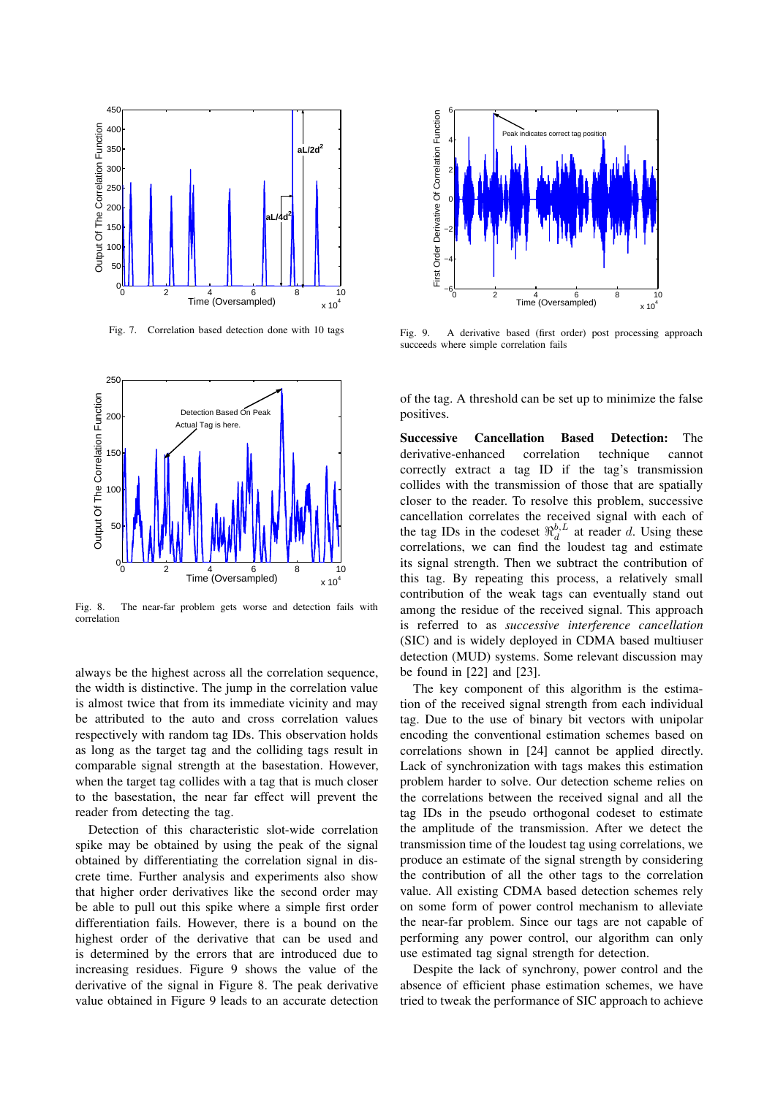

Fig. 7. Correlation based detection done with 10 tags



Fig. 8. The near-far problem gets worse and detection fails with correlation

always be the highest across all the correlation sequence, the width is distinctive. The jump in the correlation value is almost twice that from its immediate vicinity and may be attributed to the auto and cross correlation values respectively with random tag IDs. This observation holds as long as the target tag and the colliding tags result in comparable signal strength at the basestation. However, when the target tag collides with a tag that is much closer to the basestation, the near far effect will prevent the reader from detecting the tag.

Detection of this characteristic slot-wide correlation spike may be obtained by using the peak of the signal obtained by differentiating the correlation signal in discrete time. Further analysis and experiments also show that higher order derivatives like the second order may be able to pull out this spike where a simple first order differentiation fails. However, there is a bound on the highest order of the derivative that can be used and is determined by the errors that are introduced due to increasing residues. Figure 9 shows the value of the derivative of the signal in Figure 8. The peak derivative value obtained in Figure 9 leads to an accurate detection



Fig. 9. A derivative based (first order) post processing approach succeeds where simple correlation fails

of the tag. A threshold can be set up to minimize the false positives.

Successive Cancellation Based Detection: The derivative-enhanced correlation technique cannot correctly extract a tag ID if the tag's transmission collides with the transmission of those that are spatially closer to the reader. To resolve this problem, successive cancellation correlates the received signal with each of the tag IDs in the codeset  $\Re_d^{b,L}$  at reader d. Using these correlations, we can find the loudest tag and estimate its signal strength. Then we subtract the contribution of this tag. By repeating this process, a relatively small contribution of the weak tags can eventually stand out among the residue of the received signal. This approach is referred to as *successive interference cancellation* (SIC) and is widely deployed in CDMA based multiuser detection (MUD) systems. Some relevant discussion may be found in [22] and [23].

The key component of this algorithm is the estimation of the received signal strength from each individual tag. Due to the use of binary bit vectors with unipolar encoding the conventional estimation schemes based on correlations shown in [24] cannot be applied directly. Lack of synchronization with tags makes this estimation problem harder to solve. Our detection scheme relies on the correlations between the received signal and all the tag IDs in the pseudo orthogonal codeset to estimate the amplitude of the transmission. After we detect the transmission time of the loudest tag using correlations, we produce an estimate of the signal strength by considering the contribution of all the other tags to the correlation value. All existing CDMA based detection schemes rely on some form of power control mechanism to alleviate the near-far problem. Since our tags are not capable of performing any power control, our algorithm can only use estimated tag signal strength for detection.

Despite the lack of synchrony, power control and the absence of efficient phase estimation schemes, we have tried to tweak the performance of SIC approach to achieve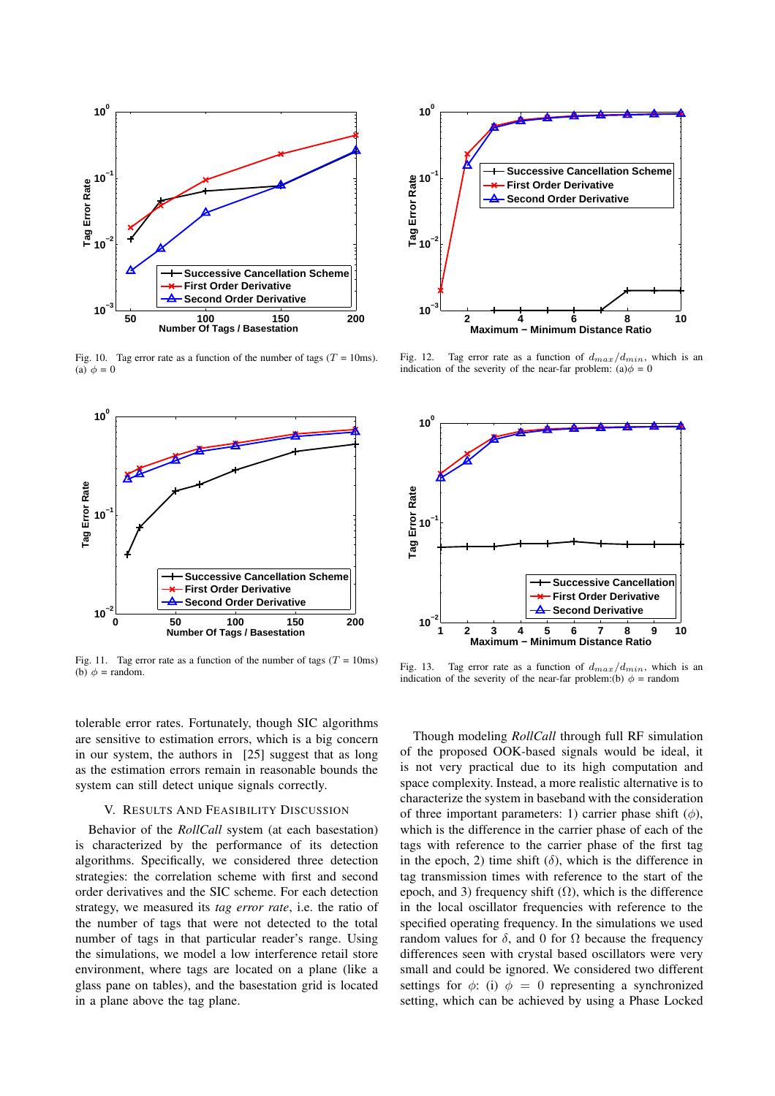

Fig. 10. Tag error rate as a function of the number of tags  $(T = 10 \text{ms})$ . (a)  $\phi = 0$ 



Fig. 11. Tag error rate as a function of the number of tags ( $T = 10$ ms) (b)  $\phi$  = random.

tolerable error rates. Fortunately, though SIC algorithms are sensitive to estimation errors, which is a big concern in our system, the authors in [25] suggest that as long as the estimation errors remain in reasonable bounds the system can still detect unique signals correctly.

### V. RESULTS AND FEASIBILITY DISCUSSION

Behavior of the *RollCall* system (at each basestation) is characterized by the performance of its detection algorithms. Specifically, we considered three detection strategies: the correlation scheme with first and second order derivatives and the SIC scheme. For each detection strategy, we measured its *tag error rate*, i.e. the ratio of the number of tags that were not detected to the total number of tags in that particular reader's range. Using the simulations, we model a low interference retail store environment, where tags are located on a plane (like a glass pane on tables), and the basestation grid is located in a plane above the tag plane.



Fig. 12. Tag error rate as a function of  $d_{max}/d_{min}$ , which is an indication of the severity of the near-far problem: (a) $\phi = 0$ 



Fig. 13. Tag error rate as a function of  $d_{max}/d_{min}$ , which is an indication of the severity of the near-far problem:(b)  $\phi$  = random

Though modeling *RollCall* through full RF simulation of the proposed OOK-based signals would be ideal, it is not very practical due to its high computation and space complexity. Instead, a more realistic alternative is to characterize the system in baseband with the consideration of three important parameters: 1) carrier phase shift  $(\phi)$ , which is the difference in the carrier phase of each of the tags with reference to the carrier phase of the first tag in the epoch, 2) time shift ( $\delta$ ), which is the difference in tag transmission times with reference to the start of the epoch, and 3) frequency shift  $(Ω)$ , which is the difference in the local oscillator frequencies with reference to the specified operating frequency. In the simulations we used random values for δ, and 0 for  $Ω$  because the frequency differences seen with crystal based oscillators were very small and could be ignored. We considered two different settings for  $\phi$ : (i)  $\phi = 0$  representing a synchronized setting, which can be achieved by using a Phase Locked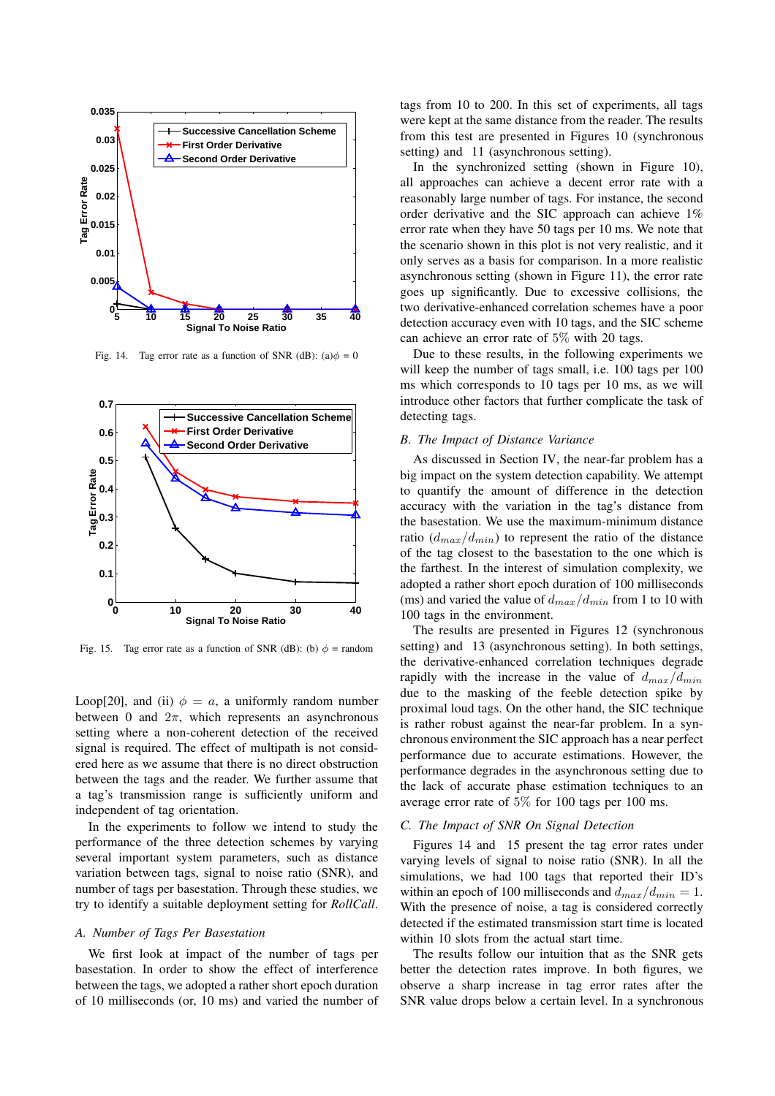

Fig. 14. Tag error rate as a function of SNR (dB): (a) $\phi = 0$ 



Fig. 15. Tag error rate as a function of SNR (dB): (b)  $\phi$  = random

Loop[20], and (ii)  $\phi = a$ , a uniformly random number between 0 and  $2\pi$ , which represents an asynchronous setting where a non-coherent detection of the received signal is required. The effect of multipath is not considered here as we assume that there is no direct obstruction between the tags and the reader. We further assume that a tag's transmission range is sufficiently uniform and independent of tag orientation.

In the experiments to follow we intend to study the performance of the three detection schemes by varying several important system parameters, such as distance variation between tags, signal to noise ratio (SNR), and number of tags per basestation. Through these studies, we try to identify a suitable deployment setting for *RollCall*.

### *A. Number of Tags Per Basestation*

We first look at impact of the number of tags per basestation. In order to show the effect of interference between the tags, we adopted a rather short epoch duration of 10 milliseconds (or, 10 ms) and varied the number of

tags from 10 to 200. In this set of experiments, all tags were kept at the same distance from the reader. The results from this test are presented in Figures 10 (synchronous setting) and 11 (asynchronous setting).

In the synchronized setting (shown in Figure 10), all approaches can achieve a decent error rate with a reasonably large number of tags. For instance, the second order derivative and the SIC approach can achieve 1% error rate when they have 50 tags per 10 ms. We note that the scenario shown in this plot is not very realistic, and it only serves as a basis for comparison. In a more realistic asynchronous setting (shown in Figure 11), the error rate goes up significantly. Due to excessive collisions, the two derivative-enhanced correlation schemes have a poor detection accuracy even with 10 tags, and the SIC scheme can achieve an error rate of 5% with 20 tags.

Due to these results, in the following experiments we will keep the number of tags small, i.e. 100 tags per 100 ms which corresponds to 10 tags per 10 ms, as we will introduce other factors that further complicate the task of detecting tags.

### *B. The Impact of Distance Variance*

As discussed in Section IV, the near-far problem has a big impact on the system detection capability. We attempt to quantify the amount of difference in the detection accuracy with the variation in the tag's distance from the basestation. We use the maximum-minimum distance ratio  $(d_{max}/d_{min})$  to represent the ratio of the distance of the tag closest to the basestation to the one which is the farthest. In the interest of simulation complexity, we adopted a rather short epoch duration of 100 milliseconds (ms) and varied the value of  $d_{max}/d_{min}$  from 1 to 10 with 100 tags in the environment.

The results are presented in Figures 12 (synchronous setting) and 13 (asynchronous setting). In both settings, the derivative-enhanced correlation techniques degrade rapidly with the increase in the value of  $d_{max}/d_{min}$ due to the masking of the feeble detection spike by proximal loud tags. On the other hand, the SIC technique is rather robust against the near-far problem. In a synchronous environment the SIC approach has a near perfect performance due to accurate estimations. However, the performance degrades in the asynchronous setting due to the lack of accurate phase estimation techniques to an average error rate of 5% for 100 tags per 100 ms.

### *C. The Impact of SNR On Signal Detection*

Figures 14 and 15 present the tag error rates under varying levels of signal to noise ratio (SNR). In all the simulations, we had 100 tags that reported their ID's within an epoch of 100 milliseconds and  $d_{max}/d_{min} = 1$ . With the presence of noise, a tag is considered correctly detected if the estimated transmission start time is located within 10 slots from the actual start time.

The results follow our intuition that as the SNR gets better the detection rates improve. In both figures, we observe a sharp increase in tag error rates after the SNR value drops below a certain level. In a synchronous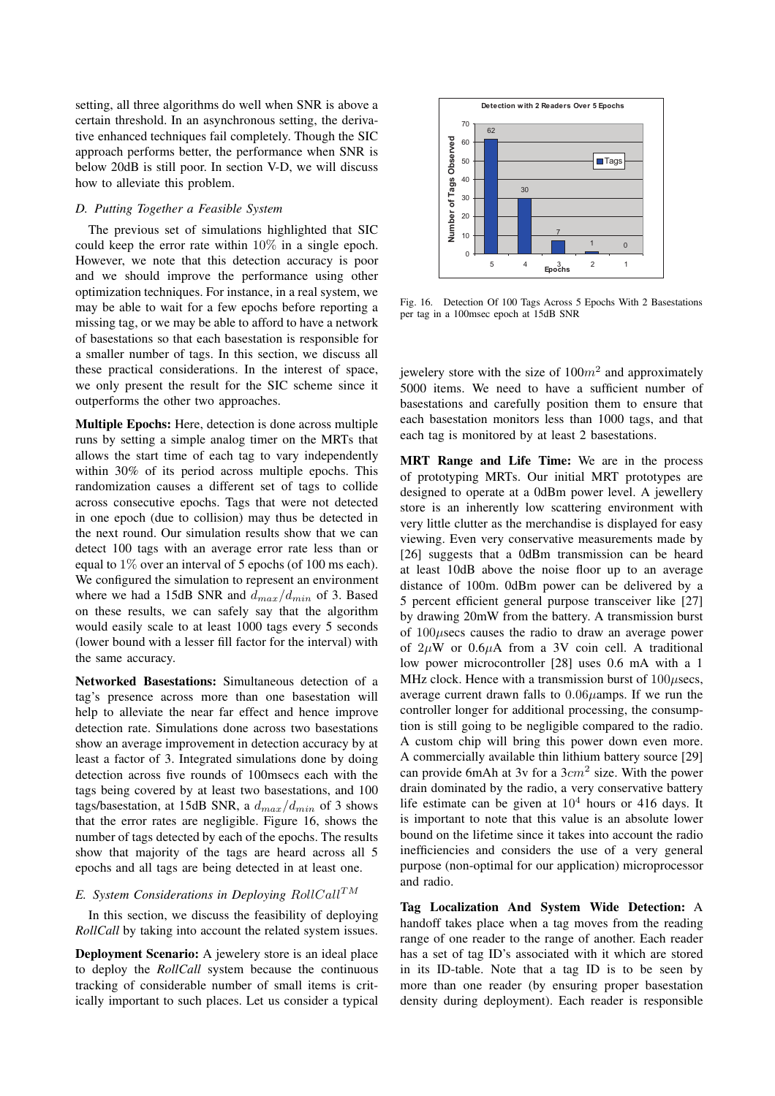setting, all three algorithms do well when SNR is above a certain threshold. In an asynchronous setting, the derivative enhanced techniques fail completely. Though the SIC approach performs better, the performance when SNR is below 20dB is still poor. In section V-D, we will discuss how to alleviate this problem.

### *D. Putting Together a Feasible System*

The previous set of simulations highlighted that SIC could keep the error rate within 10% in a single epoch. However, we note that this detection accuracy is poor and we should improve the performance using other optimization techniques. For instance, in a real system, we may be able to wait for a few epochs before reporting a missing tag, or we may be able to afford to have a network of basestations so that each basestation is responsible for a smaller number of tags. In this section, we discuss all these practical considerations. In the interest of space, we only present the result for the SIC scheme since it outperforms the other two approaches.

Multiple Epochs: Here, detection is done across multiple runs by setting a simple analog timer on the MRTs that allows the start time of each tag to vary independently within 30% of its period across multiple epochs. This randomization causes a different set of tags to collide across consecutive epochs. Tags that were not detected in one epoch (due to collision) may thus be detected in the next round. Our simulation results show that we can detect 100 tags with an average error rate less than or equal to  $1\%$  over an interval of 5 epochs (of 100 ms each). We configured the simulation to represent an environment where we had a 15dB SNR and  $d_{max}/d_{min}$  of 3. Based on these results, we can safely say that the algorithm would easily scale to at least 1000 tags every 5 seconds (lower bound with a lesser fill factor for the interval) with the same accuracy.

Networked Basestations: Simultaneous detection of a tag's presence across more than one basestation will help to alleviate the near far effect and hence improve detection rate. Simulations done across two basestations show an average improvement in detection accuracy by at least a factor of 3. Integrated simulations done by doing detection across five rounds of 100msecs each with the tags being covered by at least two basestations, and 100 tags/basestation, at 15dB SNR, a  $d_{max}/d_{min}$  of 3 shows that the error rates are negligible. Figure 16, shows the number of tags detected by each of the epochs. The results show that majority of the tags are heard across all 5 epochs and all tags are being detected in at least one.

### *E.* System Considerations in Deploying RollCall<sup>TM</sup>

In this section, we discuss the feasibility of deploying *RollCall* by taking into account the related system issues.

Deployment Scenario: A jewelery store is an ideal place to deploy the *RollCall* system because the continuous tracking of considerable number of small items is critically important to such places. Let us consider a typical



Fig. 16. Detection Of 100 Tags Across 5 Epochs With 2 Basestations per tag in a 100msec epoch at 15dB SNR

jewelery store with the size of  $100m^2$  and approximately 5000 items. We need to have a sufficient number of basestations and carefully position them to ensure that each basestation monitors less than 1000 tags, and that each tag is monitored by at least 2 basestations.

MRT Range and Life Time: We are in the process of prototyping MRTs. Our initial MRT prototypes are designed to operate at a 0dBm power level. A jewellery store is an inherently low scattering environment with very little clutter as the merchandise is displayed for easy viewing. Even very conservative measurements made by [26] suggests that a 0dBm transmission can be heard at least 10dB above the noise floor up to an average distance of 100m. 0dBm power can be delivered by a 5 percent efficient general purpose transceiver like [27] by drawing 20mW from the battery. A transmission burst of  $100\mu$ secs causes the radio to draw an average power of  $2\mu$ W or  $0.6\mu$ A from a 3V coin cell. A traditional low power microcontroller [28] uses 0.6 mA with a 1 MHz clock. Hence with a transmission burst of  $100\mu$ secs, average current drawn falls to  $0.06\mu$ amps. If we run the controller longer for additional processing, the consumption is still going to be negligible compared to the radio. A custom chip will bring this power down even more. A commercially available thin lithium battery source [29] can provide 6mAh at 3v for a  $3cm<sup>2</sup>$  size. With the power drain dominated by the radio, a very conservative battery life estimate can be given at  $10^4$  hours or 416 days. It is important to note that this value is an absolute lower bound on the lifetime since it takes into account the radio inefficiencies and considers the use of a very general purpose (non-optimal for our application) microprocessor and radio.

Tag Localization And System Wide Detection: A handoff takes place when a tag moves from the reading range of one reader to the range of another. Each reader has a set of tag ID's associated with it which are stored in its ID-table. Note that a tag ID is to be seen by more than one reader (by ensuring proper basestation density during deployment). Each reader is responsible